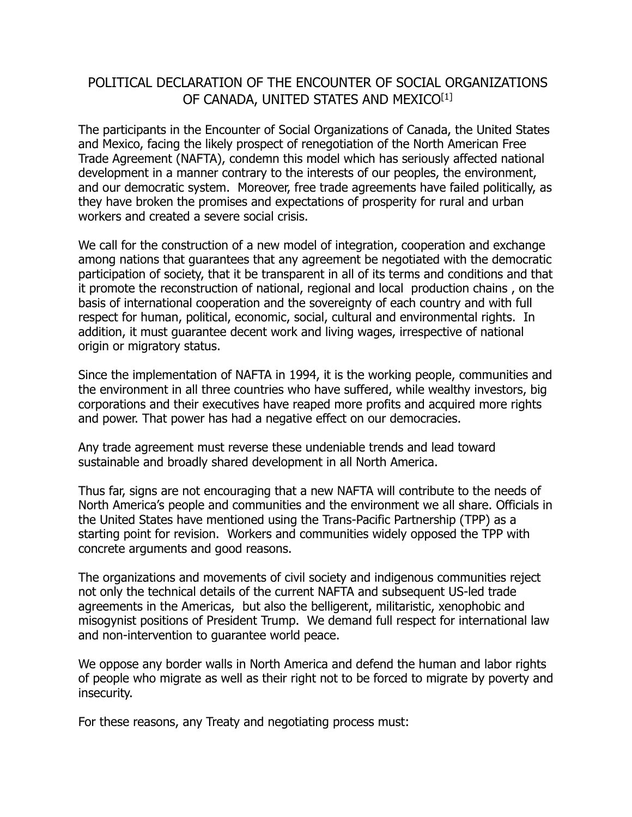## POLITICAL DECLARATION OF THE ENCOUNTER OF SOCIAL ORGANIZATIONS OF CANADA, UNITED STATES AND MEXICO[1]

The participants in the Encounter of Social Organizations of Canada, the United States and Mexico, facing the likely prospect of renegotiation of the North American Free Trade Agreement (NAFTA), condemn this model which has seriously affected national development in a manner contrary to the interests of our peoples, the environment, and our democratic system. Moreover, free trade agreements have failed politically, as they have broken the promises and expectations of prosperity for rural and urban workers and created a severe social crisis.

We call for the construction of a new model of integration, cooperation and exchange among nations that guarantees that any agreement be negotiated with the democratic participation of society, that it be transparent in all of its terms and conditions and that it promote the reconstruction of national, regional and local production chains , on the basis of international cooperation and the sovereignty of each country and with full respect for human, political, economic, social, cultural and environmental rights. In addition, it must guarantee decent work and living wages, irrespective of national origin or migratory status.

Since the implementation of NAFTA in 1994, it is the working people, communities and the environment in all three countries who have suffered, while wealthy investors, big corporations and their executives have reaped more profits and acquired more rights and power. That power has had a negative effect on our democracies.

Any trade agreement must reverse these undeniable trends and lead toward sustainable and broadly shared development in all North America.

Thus far, signs are not encouraging that a new NAFTA will contribute to the needs of North America's people and communities and the environment we all share. Officials in the United States have mentioned using the Trans-Pacific Partnership (TPP) as a starting point for revision. Workers and communities widely opposed the TPP with concrete arguments and good reasons.

The organizations and movements of civil society and indigenous communities reject not only the technical details of the current NAFTA and subsequent US-led trade agreements in the Americas, but also the belligerent, militaristic, xenophobic and misogynist positions of President Trump. We demand full respect for international law and non-intervention to guarantee world peace.

We oppose any border walls in North America and defend the human and labor rights of people who migrate as well as their right not to be forced to migrate by poverty and insecurity.

For these reasons, any Treaty and negotiating process must: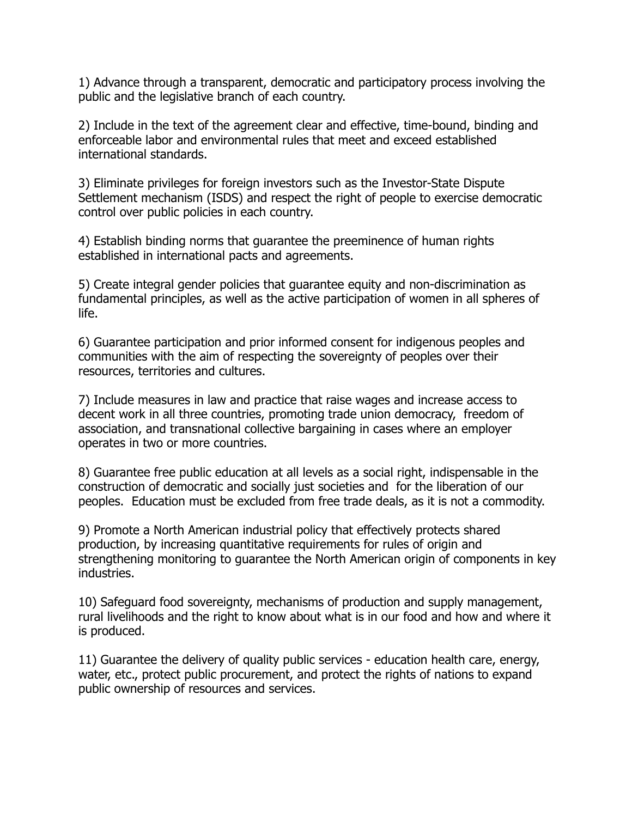1) Advance through a transparent, democratic and participatory process involving the public and the legislative branch of each country.

2) Include in the text of the agreement clear and effective, time-bound, binding and enforceable labor and environmental rules that meet and exceed established international standards.

3) Eliminate privileges for foreign investors such as the Investor-State Dispute Settlement mechanism (ISDS) and respect the right of people to exercise democratic control over public policies in each country.

4) Establish binding norms that guarantee the preeminence of human rights established in international pacts and agreements.

5) Create integral gender policies that guarantee equity and non-discrimination as fundamental principles, as well as the active participation of women in all spheres of life.

6) Guarantee participation and prior informed consent for indigenous peoples and communities with the aim of respecting the sovereignty of peoples over their resources, territories and cultures.

7) Include measures in law and practice that raise wages and increase access to decent work in all three countries, promoting trade union democracy, freedom of association, and transnational collective bargaining in cases where an employer operates in two or more countries.

8) Guarantee free public education at all levels as a social right, indispensable in the construction of democratic and socially just societies and for the liberation of our peoples. Education must be excluded from free trade deals, as it is not a commodity.

9) Promote a North American industrial policy that effectively protects shared production, by increasing quantitative requirements for rules of origin and strengthening monitoring to guarantee the North American origin of components in key industries.

10) Safeguard food sovereignty, mechanisms of production and supply management, rural livelihoods and the right to know about what is in our food and how and where it is produced.

11) Guarantee the delivery of quality public services - education health care, energy, water, etc., protect public procurement, and protect the rights of nations to expand public ownership of resources and services.